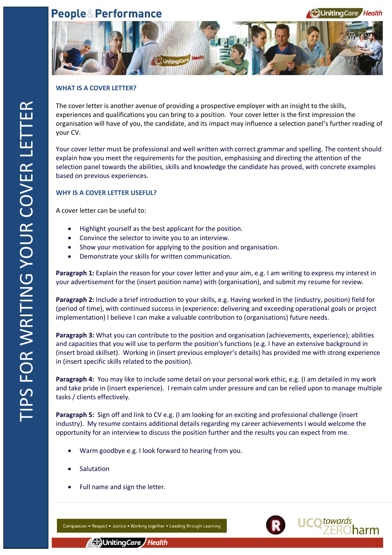# **People&Performance**





### **WHAT IS A COVER LETTER?**

The cover letter is another avenue of providing a prospective employer with an insight to the skills, experiences and qualifications you can bring to a position. Your cover letter is the first impression the organisation will have of you, the candidate, and its impact may influence a selection panel's further reading of your CV.

Your cover letter must be professional and well written with correct grammar and spelling. The content should explain how you meet the requirements for the position, emphasising and directing the attention of the selection panel towards the abilities, skills and knowledge the candidate has proved, with concrete examples based on previous experiences.

### **WHY IS A COVER LETTER USEFUL?**

A cover letter can be useful to:

- Highlight yourself as the best applicant for the position.
- Convince the selector to invite you to an interview.
- Show your motivation for applying to the position and organisation.
- Demonstrate your skills for written communication.

**Paragraph 1:** Explain the reason for your cover letter and your aim, e.g. I am writing to express my interest in your advertisement for the (insert position name) with (organisation), and submit my resume for review.

**Paragraph 2:** Include a brief introduction to your skills, e.g. Having worked in the (industry, position) field for (period of time), with continued success in (experience: delivering and exceeding operational goals or project implementation) I believe I can make a valuable contribution to (organisations) future needs.

**Paragraph 3:** What you can contribute to the position and organisation (achievements, experience); abilities and capacities that you will use to perform the position's functions (e.g. I have an extensive background in (insert broad skillset). Working in (insert previous employer's details) has provided me with strong experience in (insert specific skills related to the position).

**Paragraph 4:** You may like to include some detail on your personal work ethic, e.g. (I am detailed in my work and take pride in (insert experience). I remain calm under pressure and can be relied upon to manage multiple tasks / clients effectively.

**Paragraph 5:** Sign off and link to CV e.g. (I am looking for an exciting and professional challenge (insert industry). My resume contains additional details regarding my career achievements I would welcome the opportunity for an interview to discuss the position further and the results you can expect from me.

- Warm goodbye e.g. I look forward to hearing from you.
- Salutation
- Full name and sign the letter.

Compassion • Respect • Justice • Working together • Leading through Learning



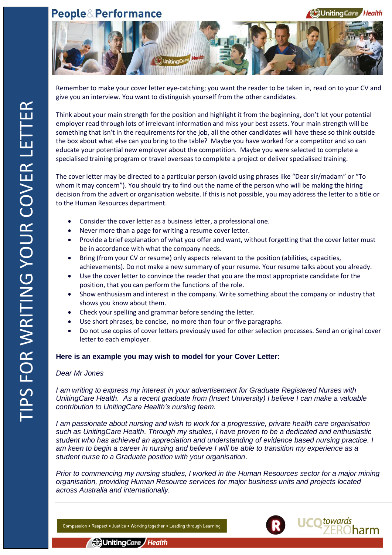# **People&Performance**





Remember to make your cover letter eye-catching; you want the reader to be taken in, read on to your CV and give you an interview. You want to distinguish yourself from the other candidates.

Think about your main strength for the position and highlight it from the beginning, don't let your potential employer read through lots of irrelevant information and miss your best assets. Your main strength will be something that isn't in the requirements for the job, all the other candidates will have these so think outside the box about what else can you bring to the table? Maybe you have worked for a competitor and so can educate your potential new employer about the competition. Maybe you were selected to complete a specialised training program or travel overseas to complete a project or deliver specialised training.

The cover letter may be directed to a particular person (avoid using phrases like "Dear sir/madam" or "To whom it may concern"). You should try to find out the name of the person who will be making the hiring decision from the advert or organisation website. If this is not possible, you may address the letter to a title or to the Human Resources department.

- Consider the cover letter as a business letter, a professional one.
- Never more than a page for writing a resume cover letter.
- Provide a brief explanation of what you offer and want, without forgetting that the cover letter must be in accordance with what the company needs.
- Bring (from your CV or resume) only aspects relevant to the position (abilities, capacities, achievements). Do not make a new summary of your resume. Your resume talks about you already.
- Use the cover letter to convince the reader that you are the most appropriate candidate for the position, that you can perform the functions of the role.
- Show enthusiasm and interest in the company. Write something about the company or industry that shows you know about them.
- Check your spelling and grammar before sending the letter.
- Use short phrases, be concise, no more than four or five paragraphs.
- Do not use copies of cover letters previously used for other selection processes. Send an original cover letter to each employer.

### **Here is an example you may wish to model for your Cover Letter:**

#### *Dear Mr Jones*

*I am writing to express my interest in your advertisement for Graduate Registered Nurses with UnitingCare Health. As a recent graduate from (Insert University) I believe I can make a valuable contribution to UnitingCare Health's nursing team.*

*I am passionate about nursing and wish to work for a progressive, private health care organisation such as UnitingCare Health. Through my studies, I have proven to be a dedicated and enthusiastic student who has achieved an appreciation and understanding of evidence based nursing practice. I am keen to begin a career in nursing and believe I will be able to transition my experience as a student nurse to a Graduate position with your organisation.*

*Prior to commencing my nursing studies, I worked in the Human Resources sector for a major mining organisation, providing Human Resource services for major business units and projects located across Australia and internationally.*

Compassion • Respect • Justice • Working together • Leading through Learning